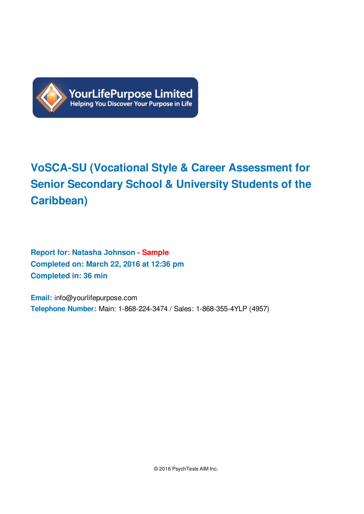

# **VoSCA-SU (Vocational Style & Career Assessment for Senior Secondary School & University Students of the Caribbean)**

**Report for: Natasha Johnson - Sample Completed on: March 22, 2016 at 12:36 pm Completed in: 36 min**

**Email:** info@yourlifepurpose.com **Telephone Number:** Main: 1-868-224-3474 / Sales: 1-868-355-4YLP (4957)

© 2016 PsychTests AIM Inc.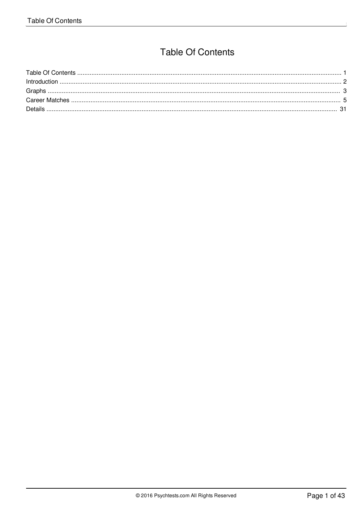## **Table Of Contents**

<span id="page-1-4"></span><span id="page-1-3"></span><span id="page-1-2"></span><span id="page-1-1"></span><span id="page-1-0"></span>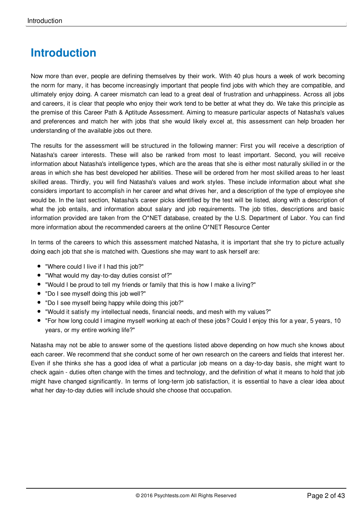# <span id="page-2-0"></span>**[Introduction](#page-1-1)**

Now more than ever, people are defining themselves by their work. With 40 plus hours a week of work becoming the norm for many, it has become increasingly important that people find jobs with which they are compatible, and ultimately enjoy doing. A career mismatch can lead to a great deal of frustration and unhappiness. Across all jobs and careers, it is clear that people who enjoy their work tend to be better at what they do. We take this principle as the premise of this Career Path & Aptitude Assessment. Aiming to measure particular aspects of Natasha's values and preferences and match her with jobs that she would likely excel at, this assessment can help broaden her understanding of the available jobs out there.

The results for the assessment will be structured in the following manner: First you will receive a description of Natasha's career interests. These will also be ranked from most to least important. Second, you will receive information about Natasha's intelligence types, which are the areas that she is either most naturally skilled in or the areas in which she has best developed her abilities. These will be ordered from her most skilled areas to her least skilled areas. Thirdly, you will find Natasha's values and work styles. These include information about what she considers important to accomplish in her career and what drives her, and a description of the type of employee she would be. In the last section, Natasha's career picks identified by the test will be listed, along with a description of what the job entails, and information about salary and job requirements. The job titles, descriptions and basic information provided are taken from the O\*NET database, created by the U.S. Department of Labor. You can find more information about the recommended careers at the online O\*NET Resource Center

In terms of the careers to which this assessment matched Natasha, it is important that she try to picture actually doing each job that she is matched with. Questions she may want to ask herself are:

- "Where could I live if I had this job?"
- "What would my day-to-day duties consist of?"
- "Would I be proud to tell my friends or family that this is how I make a living?"
- "Do I see myself doing this job well?"
- "Do I see myself being happy while doing this job?"
- "Would it satisfy my intellectual needs, financial needs, and mesh with my values?"
- "For how long could I imagine myself working at each of these jobs? Could I enjoy this for a year, 5 years, 10 years, or my entire working life?"

Natasha may not be able to answer some of the questions listed above depending on how much she knows about each career. We recommend that she conduct some of her own research on the careers and fields that interest her. Even if she thinks she has a good idea of what a particular job means on a day-to-day basis, she might want to check again - duties often change with the times and technology, and the definition of what it means to hold that job might have changed significantly. In terms of long-term job satisfaction, it is essential to have a clear idea about what her day-to-day duties will include should she choose that occupation.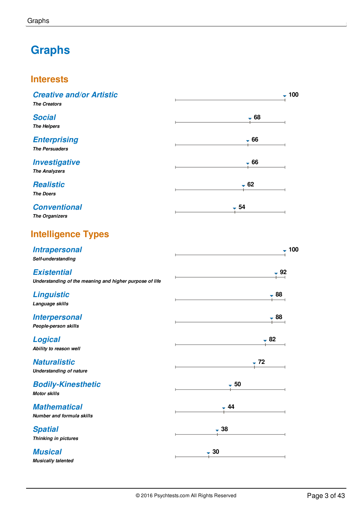# <span id="page-3-0"></span>**[Graphs](#page-1-2)**

## **Interests**

| <b>Creative and/or Artistic</b><br><b>The Creators</b>                        | $-100$ |
|-------------------------------------------------------------------------------|--------|
| <b>Social</b><br><b>The Helpers</b>                                           | $-68$  |
| <b>Enterprising</b><br><b>The Persuaders</b>                                  | $-66$  |
| <b>Investigative</b><br><b>The Analyzers</b>                                  | $-66$  |
| <b>Realistic</b><br><b>The Doers</b>                                          | $-62$  |
| <b>Conventional</b><br><b>The Organizers</b>                                  | $-54$  |
| <b>Intelligence Types</b>                                                     |        |
| <b>Intrapersonal</b><br>Self-understanding                                    | $-100$ |
| <b>Existential</b><br>Understanding of the meaning and higher purpose of life | $-92$  |
| <b>Linguistic</b><br>Language skills                                          | - 88   |
| <b>Interpersonal</b><br>People-person skills                                  | - 88   |
| <b>Logical</b><br>Ability to reason well                                      | $-82$  |
| <b>Naturalistic</b><br><b>Understanding of nature</b>                         | $-72$  |
| <b>Bodily-Kinesthetic</b><br><b>Motor skills</b>                              | $-50$  |
| <b>Mathematical</b><br><b>Number and formula skills</b>                       | 44 -   |
| <b>Spatial</b><br>Thinking in pictures                                        | $-38$  |
| <b>Musical</b><br><b>Musically talented</b>                                   | $-30$  |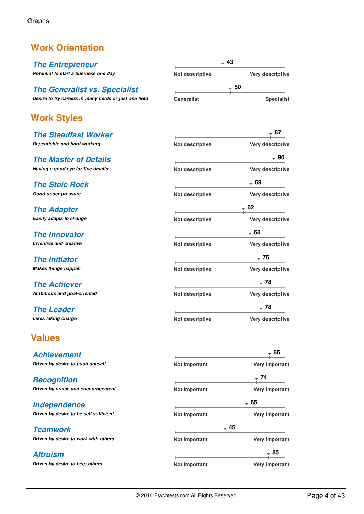## **Work Orientation**

*The Entrepreneur Potential to start a business one day*

## *The Generalist vs. Specialist*

*Desire to try careers in many fields or just one field*

## **Work Styles**

*The Steadfast Worker Dependable and hard-working*

*The Master of Details Having a good eye for fine details*

*The Stoic Rock Good under pressure*

*The Adapter Easily adapts to change*

*The Innovator Inventive and creative*

*The Initiator Makes things happen*

*The Achiever Ambitious and goal-oriented*

*The Leader Likes taking charge*

## **Values**

*Achievement Driven by desire to push oneself*

*Recognition Driven by praise and encouragement*

*Independence Driven by desire to be self-sufficient*

*Teamwork Driven by desire to work with others*

*Altruism Driven by desire to help others*

| $\overline{\phantom{a}}$                                                                             | 43                                |
|------------------------------------------------------------------------------------------------------|-----------------------------------|
| Not descriptive                                                                                      | Very descriptive                  |
|                                                                                                      | 50                                |
| Generalist                                                                                           | <b>Specialist</b>                 |
|                                                                                                      | $-87$                             |
| Not descriptive                                                                                      | Very descriptive                  |
|                                                                                                      | $\frac{1}{1}$ 90                  |
| Not descriptive                                                                                      | Very descriptive                  |
| $\frac{1}{2} \left( \frac{1}{2} \right)^2 \left( \frac{1}{2} \right)^2 \left( \frac{1}{2} \right)^2$ | $-69$                             |
| Not descriptive                                                                                      | Very descriptive                  |
|                                                                                                      | — 62<br>$\overline{\phantom{a}}$  |
| Not descriptive                                                                                      | Very descriptive                  |
| $\frac{1}{2}$                                                                                        | $+ 68$                            |
| Not descriptive                                                                                      | Very descriptive                  |
| <u> Linda a componente</u>                                                                           | $\frac{1}{1}$ 76                  |
| Not descriptive                                                                                      | Very descriptive                  |
|                                                                                                      | $\overline{\phantom{0}78}$        |
| Not descriptive                                                                                      | Very descriptive                  |
|                                                                                                      | $-78$<br>$\overline{\phantom{0}}$ |
| Not descriptive                                                                                      | Very descriptive                  |
|                                                                                                      |                                   |

|               | - 86           |
|---------------|----------------|
| Not important | Very important |
|               | - 74           |
| Not important | Very important |
|               | - 65           |
| Not important | Very important |
| -45           |                |
| Not important | Very important |
|               | , 85           |
| Not important | Very important |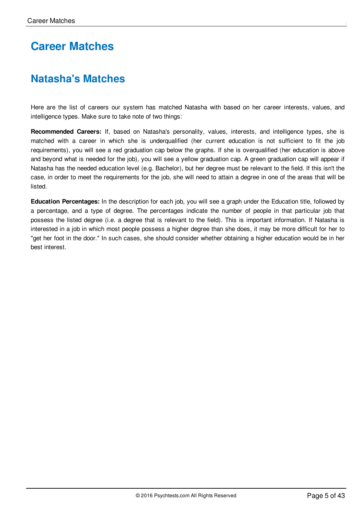# <span id="page-5-0"></span>**Career [Matches](#page-1-3)**

# **Natasha's Matches**

Here are the list of careers our system has matched Natasha with based on her career interests, values, and intelligence types. Make sure to take note of two things:

**Recommended Careers:** If, based on Natasha's personality, values, interests, and intelligence types, she is matched with a career in which she is underqualified (her current education is not sufficient to fit the job requirements), you will see a red graduation cap below the graphs. If she is overqualified (her education is above and beyond what is needed for the job), you will see a yellow graduation cap. A green graduation cap will appear if Natasha has the needed education level (e.g. Bachelor), but her degree must be relevant to the field. If this isn't the case, in order to meet the requirements for the job, she will need to attain a degree in one of the areas that will be listed.

**Education Percentages:** In the description for each job, you will see a graph under the Education title, followed by a percentage, and a type of degree. The percentages indicate the number of people in that particular job that possess the listed degree (i.e. a degree that is relevant to the field). This is important information. If Natasha is interested in a job in which most people possess a higher degree than she does, it may be more difficult for her to "get her foot in the door." In such cases, she should consider whether obtaining a higher education would be in her best interest.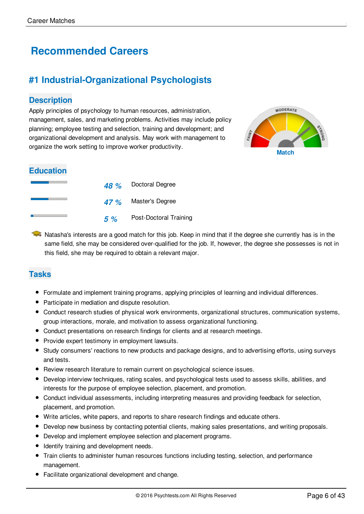# **Recommended Careers**

## **#1 Industrial-Organizational Psychologists**

#### **Description**

Apply principles of psychology to human resources, administration, management, sales, and marketing problems. Activities may include policy planning; employee testing and selection, training and development; and organizational development and analysis. May work with management to organize the work setting to improve worker productivity.<br>Match



#### **Education**

|    | 48 % Doctoral Degree   |
|----|------------------------|
|    | 47 % Master's Degree   |
| 5% | Post-Doctoral Training |

 $\rightarrow$  Natasha's interests are a good match for this job. Keep in mind that if the degree she currently has is in the same field, she may be considered over-qualified for the job. If, however, the degree she possesses is not in this field, she may be required to obtain a relevant major.

## **Tasks**

- Formulate and implement training programs, applying principles of learning and individual differences.
- Participate in mediation and dispute resolution.
- Conduct research studies of physical work environments, organizational structures, communication systems, group interactions, morale, and motivation to assess organizational functioning.
- Conduct presentations on research findings for clients and at research meetings.
- Provide expert testimony in employment lawsuits.
- Study consumers' reactions to new products and package designs, and to advertising efforts, using surveys and tests.
- Review research literature to remain current on psychological science issues.
- Develop interview techniques, rating scales, and psychological tests used to assess skills, abilities, and interests for the purpose of employee selection, placement, and promotion.
- Conduct individual assessments, including interpreting measures and providing feedback for selection, placement, and promotion.
- Write articles, white papers, and reports to share research findings and educate others.
- Develop new business by contacting potential clients, making sales presentations, and writing proposals.
- Develop and implement employee selection and placement programs.
- $\bullet$  Identify training and development needs.
- Train clients to administer human resources functions including testing, selection, and performance management.
- Facilitate organizational development and change.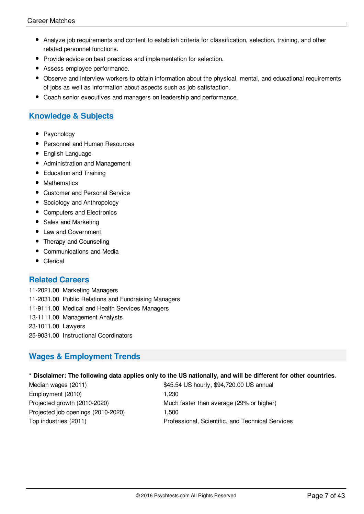- Analyze job requirements and content to establish criteria for classification, selection, training, and other related personnel functions.
- Provide advice on best practices and implementation for selection.
- Assess employee performance.
- Observe and interview workers to obtain information about the physical, mental, and educational requirements of jobs as well as information about aspects such as job satisfaction.
- Coach senior executives and managers on leadership and performance.

## **Knowledge & Subjects**

- Psychology
- Personnel and Human Resources
- **•** English Language
- Administration and Management
- Education and Training
- Mathematics
- Customer and Personal Service
- Sociology and Anthropology
- Computers and Electronics
- Sales and Marketing
- Law and Government
- Therapy and Counseling
- Communications and Media
- Clerical

#### **Related Careers**

11-2021.00 Marketing Managers

- 11-2031.00 Public Relations and Fundraising Managers
- 11-9111.00 Medical and Health Services Managers
- 13-1111.00 Management Analysts

23-1011.00 Lawyers

25-9031.00 Instructional Coordinators

## **Wages & Employment Trends**

#### \* Disclaimer: The following data applies only to the US nationally, and will be different for other countries.

Employment (2010) 1,230 Projected job openings (2010-2020) 1,500

Median wages (2011)  $$45.54$  US hourly, \$94,720.00 US annual Projected growth (2010-2020) Much faster than average (29% or higher) Top industries (2011) Professional, Scientific, and Technical Services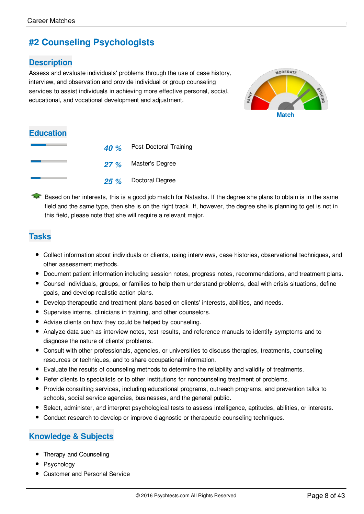## **#2 Counseling Psychologists**

## **Description**

Assess and evaluate individuals' problems through the use of case history, interview, and observation and provide individual or group counseling services to assist individuals in achieving more effective personal, social, educational, and vocational development and adjustment.



## **Education**

|  | 40 % Post-Doctoral Training |
|--|-----------------------------|
|  | 27 % Master's Degree        |
|  | 25 % Doctoral Degree        |

Based on her interests, this is a good job match for Natasha. If the degree she plans to obtain is in the same field and the same type, then she is on the right track. If, however, the degree she is planning to get is not in this field, please note that she will require a relevant major.

## **Tasks**

- Collect information about individuals or clients, using interviews, case histories, observational techniques, and other assessment methods.
- Document patient information including session notes, progress notes, recommendations, and treatment plans.
- Counsel individuals, groups, or families to help them understand problems, deal with crisis situations, define goals, and develop realistic action plans.
- Develop therapeutic and treatment plans based on clients' interests, abilities, and needs.
- Supervise interns, clinicians in training, and other counselors.
- Advise clients on how they could be helped by counseling.
- Analyze data such as interview notes, test results, and reference manuals to identify symptoms and to diagnose the nature of clients' problems.
- Consult with other professionals, agencies, or universities to discuss therapies, treatments, counseling resources or techniques, and to share occupational information.
- Evaluate the results of counseling methods to determine the reliability and validity of treatments.
- Refer clients to specialists or to other institutions for noncounseling treatment of problems.
- Provide consulting services, including educational programs, outreach programs, and prevention talks to schools, social service agencies, businesses, and the general public.
- Select, administer, and interpret psychological tests to assess intelligence, aptitudes, abilities, or interests.
- Conduct research to develop or improve diagnostic or therapeutic counseling techniques.

## **Knowledge & Subjects**

- Therapy and Counseling
- Psychology
- Customer and Personal Service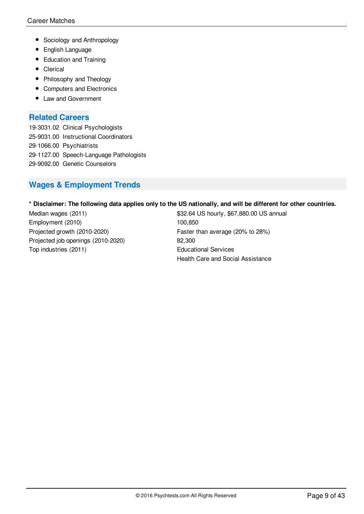- Sociology and Anthropology
- **•** English Language
- Education and Training
- Clerical
- Philosophy and Theology
- Computers and Electronics
- Law and Government

#### **Related Careers**

19-3031.02 Clinical Psychologists 25-9031.00 Instructional Coordinators 29-1066.00 Psychiatrists 29-1127.00 Speech-Language Pathologists 29-9092.00 Genetic Counselors

## **Wages & Employment Trends**

#### \* Disclaimer: The following data applies only to the US nationally, and will be different for other countries.

Employment (2010) 100,850 Projected growth (2010-2020) Faster than average (20% to 28%) Projected job openings (2010-2020) 82,300 Top industries (2011) Top industries (2011)

Median wages (2011)  $$32.64$  US hourly, \$67,880.00 US annual Health Care and Social Assistance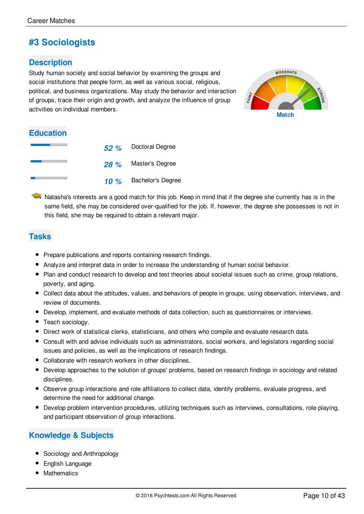## **#3 Sociologists**

## **Description**

Study human society and social behavior by examining the groups and social institutions that people form, as well as various social, religious, political, and business organizations. May study the behavior and interaction of groups, trace their origin and growth, and analyze the influence of group activities on individual members. **Match Match** 



## **Education**

|         | 52 % Doctoral Degree     |
|---------|--------------------------|
| 28 %    | Master's Degree          |
| 10 $\%$ | <b>Bachelor's Degree</b> |

 $\blacktriangleright$  Natasha's interests are a good match for this job. Keep in mind that if the degree she currently has is in the same field, she may be considered over-qualified for the job. If, however, the degree she possesses is not in this field, she may be required to obtain a relevant major.

## **Tasks**

- Prepare publications and reports containing research findings.
- Analyze and interpret data in order to increase the understanding of human social behavior.
- Plan and conduct research to develop and test theories about societal issues such as crime, group relations, poverty, and aging.
- Collect data about the attitudes, values, and behaviors of people in groups, using observation, interviews, and review of documents.
- Develop, implement, and evaluate methods of data collection, such as questionnaires or interviews.
- Teach sociology.
- Direct work of statistical clerks, statisticians, and others who compile and evaluate research data.
- Consult with and advise individuals such as administrators, social workers, and legislators regarding social issues and policies, as well as the implications of research findings.
- Collaborate with research workers in other disciplines.
- Develop approaches to the solution of groups' problems, based on research findings in sociology and related disciplines.
- Observe group interactions and role affiliations to collect data, identify problems, evaluate progress, and determine the need for additional change.
- Develop problem intervention procedures, utilizing techniques such as interviews, consultations, role playing, and participant observation of group interactions.

## **Knowledge & Subjects**

- Sociology and Anthropology
- **•** English Language
- Mathematics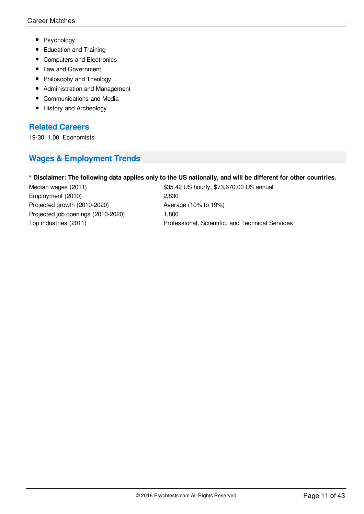- Psychology
- Education and Training
- Computers and Electronics
- Law and Government
- Philosophy and Theology
- Administration and Management
- Communications and Media
- History and Archeology

#### **Related Careers**

19-3011.00 Economists

## **Wages & Employment Trends**

#### \* Disclaimer: The following data applies only to the US nationally, and will be different for other countries.

Employment (2010) 2,830 Projected growth (2010-2020) Average (10% to 19%) Projected job openings (2010-2020) 1,800

Median wages (2011)  $$35.42$  US hourly, \$73,670.00 US annual Top industries (2011) Professional, Scientific, and Technical Services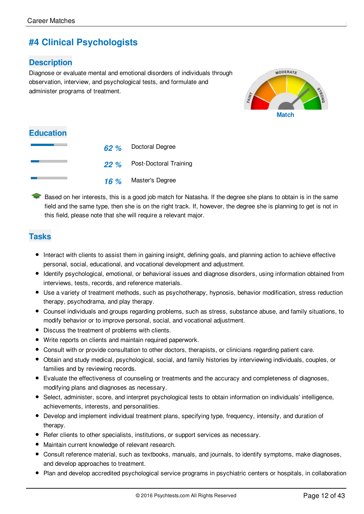## **#4 Clinical Psychologists**

## **Description**

Diagnose or evaluate mental and emotional disorders of individuals through observation, interview, and psychological tests, and formulate and administer programs of treatment.



## **Education**

|  | 62 % Doctoral Degree        |
|--|-----------------------------|
|  | 22 % Post-Doctoral Training |
|  | 16 % Master's Degree        |

Based on her interests, this is a good job match for Natasha. If the degree she plans to obtain is in the same field and the same type, then she is on the right track. If, however, the degree she is planning to get is not in this field, please note that she will require a relevant major.

## **Tasks**

- Interact with clients to assist them in gaining insight, defining goals, and planning action to achieve effective personal, social, educational, and vocational development and adjustment.
- Identify psychological, emotional, or behavioral issues and diagnose disorders, using information obtained from interviews, tests, records, and reference materials.
- Use a variety of treatment methods, such as psychotherapy, hypnosis, behavior modification, stress reduction therapy, psychodrama, and play therapy.
- Counsel individuals and groups regarding problems, such as stress, substance abuse, and family situations, to modify behavior or to improve personal, social, and vocational adjustment.
- Discuss the treatment of problems with clients.
- Write reports on clients and maintain required paperwork.
- Consult with or provide consultation to other doctors, therapists, or clinicians regarding patient care.
- Obtain and study medical, psychological, social, and family histories by interviewing individuals, couples, or families and by reviewing records.
- Evaluate the effectiveness of counseling or treatments and the accuracy and completeness of diagnoses, modifying plans and diagnoses as necessary.
- Select, administer, score, and interpret psychological tests to obtain information on individuals' intelligence, achievements, interests, and personalities.
- Develop and implement individual treatment plans, specifying type, frequency, intensity, and duration of therapy.
- Refer clients to other specialists, institutions, or support services as necessary.
- Maintain current knowledge of relevant research.
- Consult reference material, such as textbooks, manuals, and journals, to identify symptoms, make diagnoses, and develop approaches to treatment.
- Plan and develop accredited psychological service programs in psychiatric centers or hospitals, in collaboration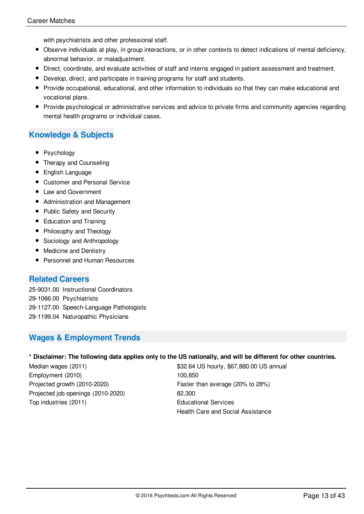with psychiatrists and other professional staff.

- Observe individuals at play, in group interactions, or in other contexts to detect indications of mental deficiency, abnormal behavior, or maladjustment.
- Direct, coordinate, and evaluate activities of staff and interns engaged in patient assessment and treatment.
- Develop, direct, and participate in training programs for staff and students.
- Provide occupational, educational, and other information to individuals so that they can make educational and vocational plans.
- Provide psychological or administrative services and advice to private firms and community agencies regarding mental health programs or individual cases.

## **Knowledge & Subjects**

- Psychology
- Therapy and Counseling
- **•** English Language
- Customer and Personal Service
- Law and Government
- Administration and Management
- Public Safety and Security
- Education and Training
- Philosophy and Theology
- Sociology and Anthropology
- Medicine and Dentistry
- Personnel and Human Resources

#### **Related Careers**

25-9031.00 Instructional Coordinators 29-1066.00 Psychiatrists 29-1127.00 Speech-Language Pathologists 29-1199.04 Naturopathic Physicians

## **Wages & Employment Trends**

#### \* Disclaimer: The following data applies only to the US nationally, and will be different for other countries.

Employment (2010) 100,850 Projected growth (2010-2020) Faster than average (20% to 28%) Projected job openings (2010-2020) 82,300 Top industries (2011) Educational Services

Median wages (2011) \$32.64 US hourly, \$67,880.00 US annual Health Care and Social Assistance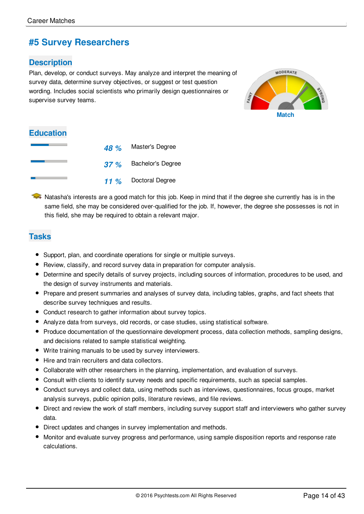## **#5 Survey Researchers**

## **Description**

Plan, develop, or conduct surveys. May analyze and interpret the meaning of survey data, determine survey objectives, or suggest or test question wording. Includes social scientists who primarily design questionnaires or supervise survey teams.



## **Education**

| 48 % | Master's Degree          |
|------|--------------------------|
| 37%  | <b>Bachelor's Degree</b> |
| 11%  | Doctoral Degree          |

 $\blacktriangleright$  Natasha's interests are a good match for this job. Keep in mind that if the degree she currently has is in the same field, she may be considered over-qualified for the job. If, however, the degree she possesses is not in this field, she may be required to obtain a relevant major.

## **Tasks**

- Support, plan, and coordinate operations for single or multiple surveys.
- Review, classify, and record survey data in preparation for computer analysis.
- Determine and specify details of survey projects, including sources of information, procedures to be used, and the design of survey instruments and materials.
- Prepare and present summaries and analyses of survey data, including tables, graphs, and fact sheets that describe survey techniques and results.
- Conduct research to gather information about survey topics.
- Analyze data from surveys, old records, or case studies, using statistical software.
- Produce documentation of the questionnaire development process, data collection methods, sampling designs, and decisions related to sample statistical weighting.
- Write training manuals to be used by survey interviewers.
- Hire and train recruiters and data collectors.
- Collaborate with other researchers in the planning, implementation, and evaluation of surveys.
- Consult with clients to identify survey needs and specific requirements, such as special samples.
- Conduct surveys and collect data, using methods such as interviews, questionnaires, focus groups, market analysis surveys, public opinion polls, literature reviews, and file reviews.
- Direct and review the work of staff members, including survey support staff and interviewers who gather survey data.
- Direct updates and changes in survey implementation and methods.
- Monitor and evaluate survey progress and performance, using sample disposition reports and response rate calculations.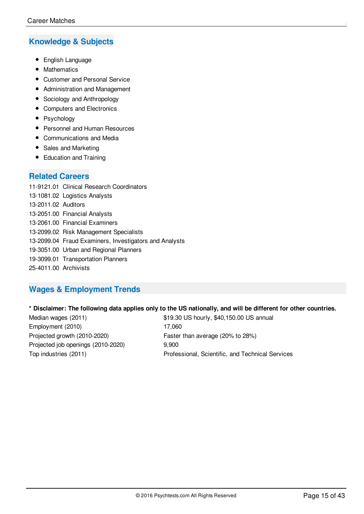## **Knowledge & Subjects**

- **•** English Language
- Mathematics
- Customer and Personal Service
- Administration and Management
- Sociology and Anthropology
- Computers and Electronics
- Psychology
- Personnel and Human Resources
- Communications and Media
- Sales and Marketing
- Education and Training

#### **Related Careers**

11-9121.01 Clinical Research Coordinators 13-1081.02 Logistics Analysts 13-2011.02 Auditors 13-2051.00 Financial Analysts 13-2061.00 Financial Examiners 13-2099.02 Risk Management Specialists 13-2099.04 Fraud Examiners, Investigators and Analysts 19-3051.00 Urban and Regional Planners 19-3099.01 Transportation Planners 25-4011.00 Archivists

## **Wages & Employment Trends**

#### \* Disclaimer: The following data applies only to the US nationally, and will be different for other countries.

Employment (2010) 17,060 Projected growth (2010-2020) Faster than average (20% to 28%) Projected job openings (2010-2020) 9,900

Median wages (2011)  $$19.30$  US hourly, \$40,150.00 US annual Top industries (2011) Professional, Scientific, and Technical Services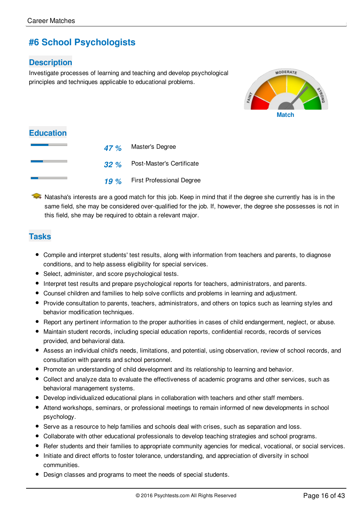## **#6 School Psychologists**

## **Description**

Investigate processes of learning and teaching and develop psychological principles and techniques applicable to educational problems.



| <b>Education</b> |     |                                  |
|------------------|-----|----------------------------------|
|                  |     | 47 % Master's Degree             |
|                  | 32% | Post-Master's Certificate        |
|                  | 19% | <b>First Professional Degree</b> |

 $\rightarrow$  Natasha's interests are a good match for this job. Keep in mind that if the degree she currently has is in the same field, she may be considered over-qualified for the job. If, however, the degree she possesses is not in this field, she may be required to obtain a relevant major.

## **Tasks**

- Compile and interpret students' test results, along with information from teachers and parents, to diagnose conditions, and to help assess eligibility for special services.
- Select, administer, and score psychological tests.
- Interpret test results and prepare psychological reports for teachers, administrators, and parents.
- Counsel children and families to help solve conflicts and problems in learning and adjustment.
- Provide consultation to parents, teachers, administrators, and others on topics such as learning styles and behavior modification techniques.
- Report any pertinent information to the proper authorities in cases of child endangerment, neglect, or abuse.
- Maintain student records, including special education reports, confidential records, records of services provided, and behavioral data.
- Assess an individual child's needs, limitations, and potential, using observation, review of school records, and consultation with parents and school personnel.
- Promote an understanding of child development and its relationship to learning and behavior.
- Collect and analyze data to evaluate the effectiveness of academic programs and other services, such as behavioral management systems.
- Develop individualized educational plans in collaboration with teachers and other staff members.
- Attend workshops, seminars, or professional meetings to remain informed of new developments in school psychology.
- Serve as a resource to help families and schools deal with crises, such as separation and loss.
- Collaborate with other educational professionals to develop teaching strategies and school programs.
- Refer students and their families to appropriate community agencies for medical, vocational, or social services.
- Initiate and direct efforts to foster tolerance, understanding, and appreciation of diversity in school communities.
- Design classes and programs to meet the needs of special students.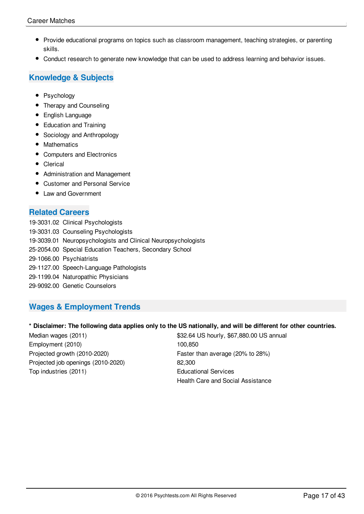- Provide educational programs on topics such as classroom management, teaching strategies, or parenting skills.
- Conduct research to generate new knowledge that can be used to address learning and behavior issues.

## **Knowledge & Subjects**

- Psychology
- Therapy and Counseling
- **•** English Language
- Education and Training
- Sociology and Anthropology
- Mathematics
- Computers and Electronics
- Clerical
- Administration and Management
- Customer and Personal Service
- Law and Government

## **Related Careers**

19-3031.02 Clinical Psychologists 19-3031.03 Counseling Psychologists 19-3039.01 Neuropsychologists and Clinical Neuropsychologists 25-2054.00 Special Education Teachers, Secondary School 29-1066.00 Psychiatrists 29-1127.00 Speech-Language Pathologists 29-1199.04 Naturopathic Physicians 29-9092.00 Genetic Counselors

## **Wages & Employment Trends**

#### \* Disclaimer: The following data applies only to the US nationally, and will be different for other countries.

| Median wages (2011)                | \$32.64 US hourly, \$67,880.00 US annual |
|------------------------------------|------------------------------------------|
| Employment (2010)                  | 100.850                                  |
| Projected growth (2010-2020)       | Faster than average (20% to 28%)         |
| Projected job openings (2010-2020) | 82.300                                   |
| Top industries (2011)              | <b>Educational Services</b>              |
|                                    | Health Care and Social Assistance        |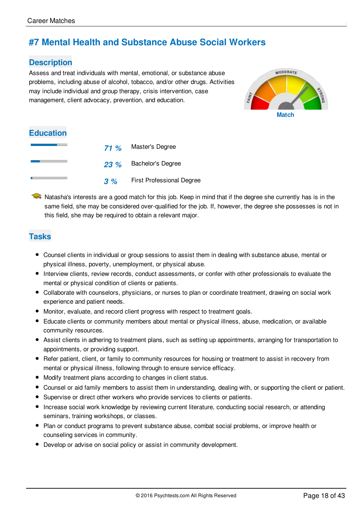## **#7 Mental Health and Substance Abuse Social Workers**

## **Description**

Assess and treat individuals with mental, emotional, or substance abuse problems, including abuse of alcohol, tobacco, and/or other drugs. Activities may include individual and group therapy, crisis intervention, case management, client advocacy, prevention, and education.



## **Education**

| 71%  | Master's Degree                  |
|------|----------------------------------|
| 23 % | <b>Bachelor's Degree</b>         |
| 3%   | <b>First Professional Degree</b> |

 $\blacktriangleright$  Natasha's interests are a good match for this job. Keep in mind that if the degree she currently has is in the same field, she may be considered over-qualified for the job. If, however, the degree she possesses is not in this field, she may be required to obtain a relevant major.

## **Tasks**

- Counsel clients in individual or group sessions to assist them in dealing with substance abuse, mental or physical illness, poverty, unemployment, or physical abuse.
- Interview clients, review records, conduct assessments, or confer with other professionals to evaluate the mental or physical condition of clients or patients.
- Collaborate with counselors, physicians, or nurses to plan or coordinate treatment, drawing on social work experience and patient needs.
- Monitor, evaluate, and record client progress with respect to treatment goals.
- Educate clients or community members about mental or physical illness, abuse, medication, or available community resources.
- Assist clients in adhering to treatment plans, such as setting up appointments, arranging for transportation to appointments, or providing support.
- Refer patient, client, or family to community resources for housing or treatment to assist in recovery from mental or physical illness, following through to ensure service efficacy.
- Modify treatment plans according to changes in client status.
- Counsel or aid family members to assist them in understanding, dealing with, or supporting the client or patient.
- Supervise or direct other workers who provide services to clients or patients.
- Increase social work knowledge by reviewing current literature, conducting social research, or attending seminars, training workshops, or classes.
- Plan or conduct programs to prevent substance abuse, combat social problems, or improve health or counseling services in community.
- Develop or advise on social policy or assist in community development.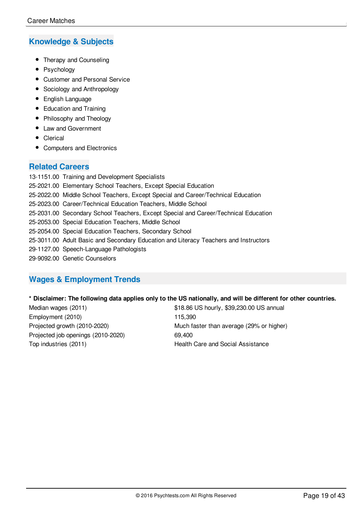## **Knowledge & Subjects**

- Therapy and Counseling
- Psychology
- Customer and Personal Service
- Sociology and Anthropology
- **•** English Language
- Education and Training
- Philosophy and Theology
- Law and Government
- Clerical
- Computers and Electronics

#### **Related Careers**

13-1151.00 Training and Development Specialists 25-2021.00 Elementary School Teachers, Except Special Education 25-2022.00 Middle School Teachers, Except Special and Career/Technical Education 25-2023.00 Career/Technical Education Teachers, Middle School 25-2031.00 Secondary School Teachers, Except Special and Career/Technical Education 25-2053.00 Special Education Teachers, Middle School 25-2054.00 Special Education Teachers, Secondary School 25-3011.00 Adult Basic and Secondary Education and Literacy Teachers and Instructors 29-1127.00 Speech-Language Pathologists 29-9092.00 Genetic Counselors

## **Wages & Employment Trends**

#### \* Disclaimer: The following data applies only to the US nationally, and will be different for other countries.

Employment (2010) 115,390 Projected job openings (2010-2020) 69,400 Top industries (2011) Top industries (2011)

Median wages (2011) **628 and 318.86 US hourly, \$39,230.00 US** annual Projected growth (2010-2020) Much faster than average (29% or higher)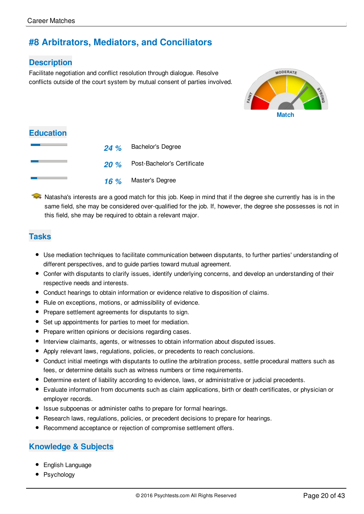## **#8 Arbitrators, Mediators, and Conciliators**

## **Description**

Facilitate negotiation and conflict resolution through dialogue. Resolve conflicts outside of the court system by mutual consent of parties involved.



## **Education**

| 24% | <b>Bachelor's Degree</b>         |
|-----|----------------------------------|
|     | 20 % Post-Bachelor's Certificate |
| 16% | Master's Degree                  |

 $\blacktriangleright$  Natasha's interests are a good match for this job. Keep in mind that if the degree she currently has is in the same field, she may be considered over-qualified for the job. If, however, the degree she possesses is not in this field, she may be required to obtain a relevant major.

## **Tasks**

- Use mediation techniques to facilitate communication between disputants, to further parties' understanding of different perspectives, and to guide parties toward mutual agreement.
- Confer with disputants to clarify issues, identify underlying concerns, and develop an understanding of their respective needs and interests.
- Conduct hearings to obtain information or evidence relative to disposition of claims.
- Rule on exceptions, motions, or admissibility of evidence.
- Prepare settlement agreements for disputants to sign.
- Set up appointments for parties to meet for mediation.
- Prepare written opinions or decisions regarding cases.
- Interview claimants, agents, or witnesses to obtain information about disputed issues.
- Apply relevant laws, regulations, policies, or precedents to reach conclusions.
- Conduct initial meetings with disputants to outline the arbitration process, settle procedural matters such as fees, or determine details such as witness numbers or time requirements.
- Determine extent of liability according to evidence, laws, or administrative or judicial precedents.
- Evaluate information from documents such as claim applications, birth or death certificates, or physician or employer records.
- Issue subpoenas or administer oaths to prepare for formal hearings.
- Research laws, regulations, policies, or precedent decisions to prepare for hearings.
- Recommend acceptance or rejection of compromise settlement offers.

## **Knowledge & Subjects**

- **•** English Language
- Psychology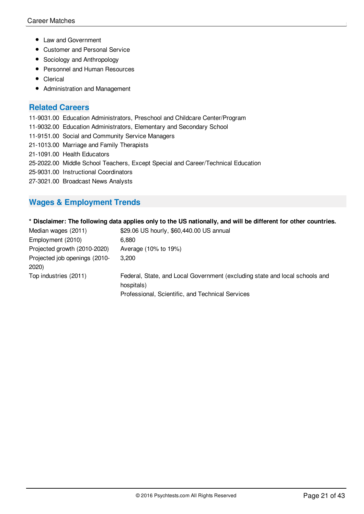- Law and Government
- Customer and Personal Service
- Sociology and Anthropology
- Personnel and Human Resources
- Clerical
- Administration and Management

#### **Related Careers**

11-9031.00 Education Administrators, Preschool and Childcare Center/Program

- 11-9032.00 Education Administrators, Elementary and Secondary School
- 11-9151.00 Social and Community Service Managers
- 21-1013.00 Marriage and Family Therapists
- 21-1091.00 Health Educators
- 25-2022.00 Middle School Teachers, Except Special and Career/Technical Education
- 25-9031.00 Instructional Coordinators
- 27-3021.00 Broadcast News Analysts

## **Wages & Employment Trends**

#### \* Disclaimer: The following data applies only to the US nationally, and will be different for other countries.

| Median wages (2011)                    | \$29.06 US hourly, \$60,440.00 US annual                                                                                                      |
|----------------------------------------|-----------------------------------------------------------------------------------------------------------------------------------------------|
| Employment (2010)                      | 6.880                                                                                                                                         |
| Projected growth (2010-2020)           | Average (10% to 19%)                                                                                                                          |
| Projected job openings (2010-<br>2020) | 3.200                                                                                                                                         |
| Top industries (2011)                  | Federal, State, and Local Government (excluding state and local schools and<br>hospitals)<br>Professional, Scientific, and Technical Services |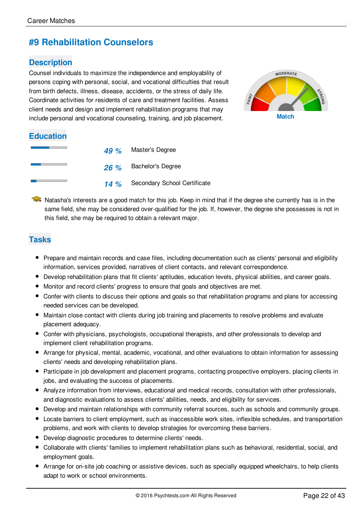## **#9 Rehabilitation Counselors**

## **Description**

Counsel individuals to maximize the independence and employability of persons coping with personal, social, and vocational difficulties that result from birth defects, illness, disease, accidents, or the stress of daily life. Coordinate activities for residents of care and treatment facilities. Assess client needs and design and implement rehabilitation programs that may include personal and vocational counseling, training, and job placement. **Match**



#### **Education**

|  | 49 % Master's Degree              |
|--|-----------------------------------|
|  | 26 % Bachelor's Degree            |
|  | 14 % Secondary School Certificate |

A Natasha's interests are a good match for this job. Keep in mind that if the degree she currently has is in the same field, she may be considered over-qualified for the job. If, however, the degree she possesses is not in this field, she may be required to obtain a relevant major.

## **Tasks**

- Prepare and maintain records and case files, including documentation such as clients' personal and eligibility information, services provided, narratives of client contacts, and relevant correspondence.
- Develop rehabilitation plans that fit clients' aptitudes, education levels, physical abilities, and career goals.
- Monitor and record clients' progress to ensure that goals and objectives are met.
- Confer with clients to discuss their options and goals so that rehabilitation programs and plans for accessing needed services can be developed.
- Maintain close contact with clients during job training and placements to resolve problems and evaluate placement adequacy.
- Confer with physicians, psychologists, occupational therapists, and other professionals to develop and implement client rehabilitation programs.
- Arrange for physical, mental, academic, vocational, and other evaluations to obtain information for assessing clients' needs and developing rehabilitation plans.
- Participate in job development and placement programs, contacting prospective employers, placing clients in jobs, and evaluating the success of placements.
- Analyze information from interviews, educational and medical records, consultation with other professionals, and diagnostic evaluations to assess clients' abilities, needs, and eligibility for services.
- Develop and maintain relationships with community referral sources, such as schools and community groups.
- Locate barriers to client employment, such as inaccessible work sites, inflexible schedules, and transportation problems, and work with clients to develop strategies for overcoming these barriers.
- Develop diagnostic procedures to determine clients' needs.
- Collaborate with clients' families to implement rehabilitation plans such as behavioral, residential, social, and employment goals.
- Arrange for on-site job coaching or assistive devices, such as specially equipped wheelchairs, to help clients adapt to work or school environments.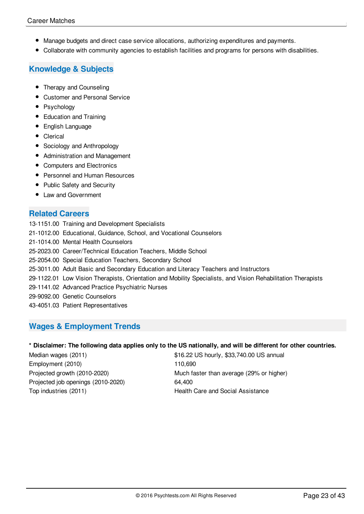- Manage budgets and direct case service allocations, authorizing expenditures and payments.
- Collaborate with community agencies to establish facilities and programs for persons with disabilities.

## **Knowledge & Subjects**

- Therapy and Counseling
- Customer and Personal Service
- Psychology
- Education and Training
- English Language
- Clerical
- Sociology and Anthropology
- Administration and Management
- Computers and Electronics
- Personnel and Human Resources
- Public Safety and Security
- Law and Government

## **Related Careers**

13-1151.00 Training and Development Specialists 21-1012.00 Educational, Guidance, School, and Vocational Counselors 21-1014.00 Mental Health Counselors 25-2023.00 Career/Technical Education Teachers, Middle School 25-2054.00 Special Education Teachers, Secondary School 25-3011.00 Adult Basic and Secondary Education and Literacy Teachers and Instructors 29-1122.01 Low Vision Therapists, Orientation and Mobility Specialists, and Vision Rehabilitation Therapists 29-1141.02 Advanced Practice Psychiatric Nurses 29-9092.00 Genetic Counselors 43-4051.03 Patient Representatives

## **Wages & Employment Trends**

#### \* Disclaimer: The following data applies only to the US nationally, and will be different for other countries.

Employment (2010) 110,690 Projected job openings (2010-2020) 64,400 Top industries (2011) Top industries (2011)

Median wages (2011)  $$16.22$  US hourly, \$33,740.00 US annual Projected growth (2010-2020) Much faster than average (29% or higher)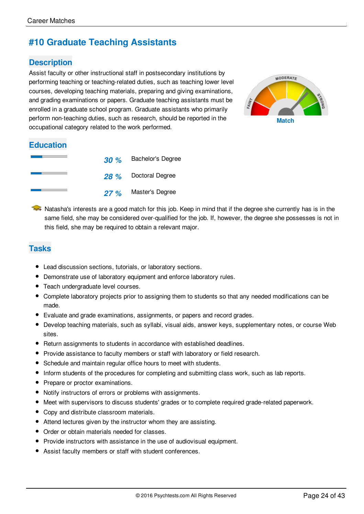## **#10 Graduate Teaching Assistants**

## **Description**

Assist faculty or other instructional staff in postsecondary institutions by performing teaching or teaching-related duties, such as teaching lower level courses, developing teaching materials, preparing and giving examinations, and grading examinations or papers. Graduate teaching assistants must be enrolled in a graduate school program. Graduate assistants who primarily perform non-teaching duties, such as research, should be reported in the occupational category related to the work performed.



## **Education**

| <b>30</b> % | <b>Bachelor's Degree</b> |
|-------------|--------------------------|
|             | 28 % Doctoral Degree     |
| 27%         | Master's Degree          |

A Natasha's interests are a good match for this job. Keep in mind that if the degree she currently has is in the same field, she may be considered over-qualified for the job. If, however, the degree she possesses is not in this field, she may be required to obtain a relevant major.

## **Tasks**

- Lead discussion sections, tutorials, or laboratory sections.
- Demonstrate use of laboratory equipment and enforce laboratory rules.
- **•** Teach undergraduate level courses.
- Complete laboratory projects prior to assigning them to students so that any needed modifications can be made.
- Evaluate and grade examinations, assignments, or papers and record grades.
- Develop teaching materials, such as syllabi, visual aids, answer keys, supplementary notes, or course Web sites.
- Return assignments to students in accordance with established deadlines.
- Provide assistance to faculty members or staff with laboratory or field research.
- Schedule and maintain regular office hours to meet with students.
- Inform students of the procedures for completing and submitting class work, such as lab reports.
- Prepare or proctor examinations.
- Notify instructors of errors or problems with assignments.
- Meet with supervisors to discuss students' grades or to complete required grade-related paperwork.
- Copy and distribute classroom materials.
- Attend lectures given by the instructor whom they are assisting.
- Order or obtain materials needed for classes.
- Provide instructors with assistance in the use of audiovisual equipment.
- Assist faculty members or staff with student conferences.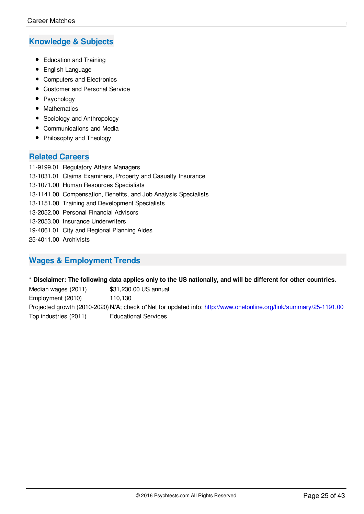## **Knowledge & Subjects**

- Education and Training
- **•** English Language
- Computers and Electronics
- Customer and Personal Service
- Psychology
- Mathematics
- Sociology and Anthropology
- Communications and Media
- Philosophy and Theology

## **Related Careers**

11-9199.01 Regulatory Affairs Managers 13-1031.01 Claims Examiners, Property and Casualty Insurance 13-1071.00 Human Resources Specialists 13-1141.00 Compensation, Benefits, and Job Analysis Specialists 13-1151.00 Training and Development Specialists 13-2052.00 Personal Financial Advisors 13-2053.00 Insurance Underwriters 19-4061.01 City and Regional Planning Aides 25-4011.00 Archivists

## **Wages & Employment Trends**

\* Disclaimer: The following data applies only to the US nationally, and will be different for other countries.

Median wages (2011) \$31,230.00 US annual Employment (2010) 110,130 Projected growth (2010-2020) N/A; check o\*Net for updated info: <http://www.onetonline.org/link/summary/25-1191.00> Top industries (2011) Educational Services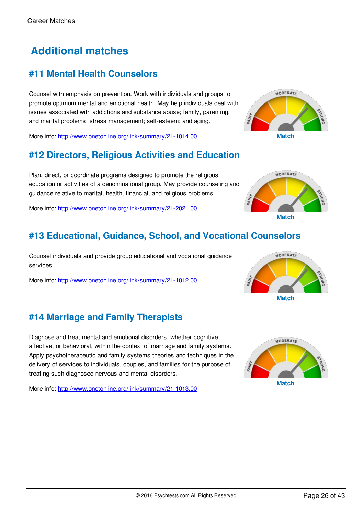# **Additional matches**

## **#11 Mental Health Counselors**

Counsel with emphasis on prevention. Work with individuals and groups to promote optimum mental and emotional health. May help individuals deal with issues associated with addictions and substance abuse; family, parenting, and marital problems; stress management; self-esteem; and aging.

More info: <http://www.onetonline.org/link/summary/21-1014.00> **Match**

## **#12 Directors, Religious Activities and Education**

Plan, direct, or coordinate programs designed to promote the religious education or activities of a denominational group. May provide counseling and guidance relative to marital, health, financial, and religious problems.

More info: <http://www.onetonline.org/link/summary/21-2021.00>

## **#13 Educational, Guidance, School, and Vocational Counselors**

Counsel individuals and provide group educational and vocational guidance services.

More info: <http://www.onetonline.org/link/summary/21-1012.00>

## **#14 Marriage and Family Therapists**

Diagnose and treat mental and emotional disorders, whether cognitive, affective, or behavioral, within the context of marriage and family systems. Apply psychotherapeutic and family systems theories and techniques in the delivery of services to individuals, couples, and families for the purpose of treating such diagnosed nervous and mental disorders.

More info: <http://www.onetonline.org/link/summary/21-1013.00>







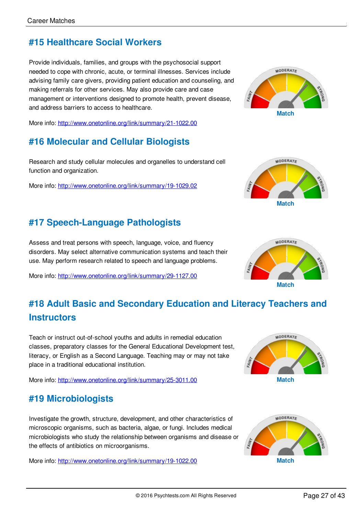## **#15 Healthcare Social Workers**

Provide individuals, families, and groups with the psychosocial support needed to cope with chronic, acute, or terminal illnesses. Services include advising family care givers, providing patient education and counseling, and making referrals for other services. May also provide care and case management or interventions designed to promote health, prevent disease, and address barriers to access to healthcare.

More info: <http://www.onetonline.org/link/summary/21-1022.00>

## **#16 Molecular and Cellular Biologists**

Research and study cellular molecules and organelles to understand cell function and organization.

More info: <http://www.onetonline.org/link/summary/19-1029.02>

## **#17 Speech-Language Pathologists**

Assess and treat persons with speech, language, voice, and fluency disorders. May select alternative communication systems and teach their use. May perform research related to speech and language problems.

More info: <http://www.onetonline.org/link/summary/29-1127.00>

# **Match**

**MODERATE** 





# **#18 Adult Basic and Secondary Education and Literacy Teachers and Instructors**

Teach or instruct out-of-school youths and adults in remedial education classes, preparatory classes for the General Educational Development test, literacy, or English as a Second Language. Teaching may or may not take place in a traditional educational institution.

More info: <http://www.onetonline.org/link/summary/25-3011.00> **Match**

## **#19 Microbiologists**

Investigate the growth, structure, development, and other characteristics of microscopic organisms, such as bacteria, algae, or fungi. Includes medical microbiologists who study the relationship between organisms and disease or the effects of antibiotics on microorganisms.

More info: <http://www.onetonline.org/link/summary/19-1022.00> **Match**



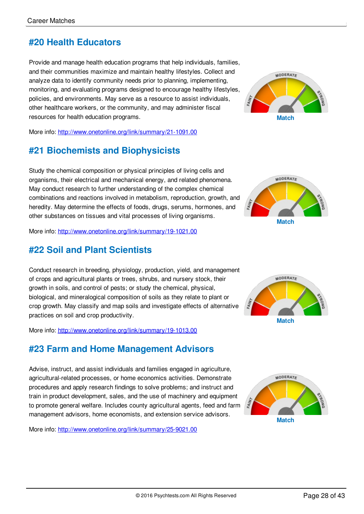## **#20 Health Educators**

Provide and manage health education programs that help individuals, families, and their communities maximize and maintain healthy lifestyles. Collect and analyze data to identify community needs prior to planning, implementing, monitoring, and evaluating programs designed to encourage healthy lifestyles, policies, and environments. May serve as a resource to assist individuals, other healthcare workers, or the community, and may administer fiscal resources for health education programs.

More info: <http://www.onetonline.org/link/summary/21-1091.00>

## **#21 Biochemists and Biophysicists**

Study the chemical composition or physical principles of living cells and organisms, their electrical and mechanical energy, and related phenomena. May conduct research to further understanding of the complex chemical combinations and reactions involved in metabolism, reproduction, growth, and heredity. May determine the effects of foods, drugs, serums, hormones, and other substances on tissues and vital processes of living organisms.

More info: <http://www.onetonline.org/link/summary/19-1021.00>

## **#22 Soil and Plant Scientists**

Conduct research in breeding, physiology, production, yield, and management of crops and agricultural plants or trees, shrubs, and nursery stock, their growth in soils, and control of pests; or study the chemical, physical, biological, and mineralogical composition of soils as they relate to plant or crop growth. May classify and map soils and investigate effects of alternative practices on soil and crop productivity.

More info: <http://www.onetonline.org/link/summary/19-1013.00>

## **#23 Farm and Home Management Advisors**

Advise, instruct, and assist individuals and families engaged in agriculture, agricultural-related processes, or home economics activities. Demonstrate procedures and apply research findings to solve problems; and instruct and train in product development, sales, and the use of machinery and equipment to promote general welfare. Includes county agricultural agents, feed and farm management advisors, home economists, and extension service advisors.

More info: <http://www.onetonline.org/link/summary/25-9021.00>











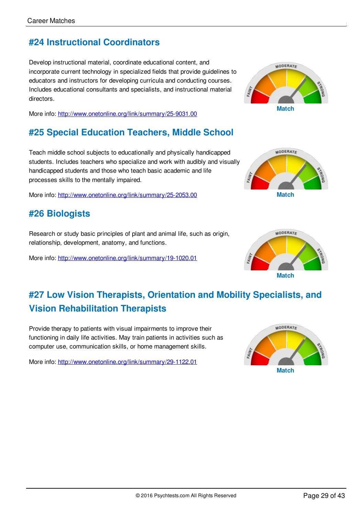## **#24 Instructional Coordinators**

Develop instructional material, coordinate educational content, and incorporate current technology in specialized fields that provide guidelines to educators and instructors for developing curricula and conducting courses. Includes educational consultants and specialists, and instructional material directors.

More info: <http://www.onetonline.org/link/summary/25-9031.00>

## **#25 Special Education Teachers, Middle School**

Teach middle school subjects to educationally and physically handicapped students. Includes teachers who specialize and work with audibly and visually handicapped students and those who teach basic academic and life processes skills to the mentally impaired.

More info: <http://www.onetonline.org/link/summary/25-2053.00> **Match**

## **#26 Biologists**

Research or study basic principles of plant and animal life, such as origin, relationship, development, anatomy, and functions.

More info: <http://www.onetonline.org/link/summary/19-1020.01>







**#27 Low Vision Therapists, Orientation and Mobility Specialists, and Vision Rehabilitation Therapists**

Provide therapy to patients with visual impairments to improve their functioning in daily life activities. May train patients in activities such as computer use, communication skills, or home management skills.

More info: <http://www.onetonline.org/link/summary/29-1122.01>

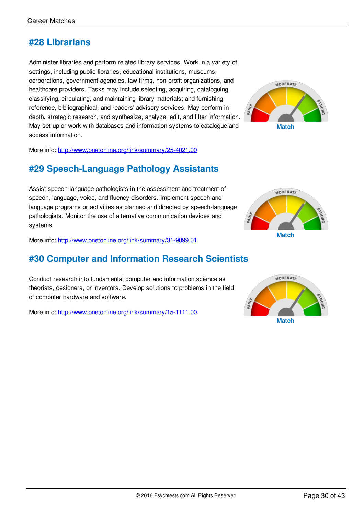## **#28 Librarians**

Administer libraries and perform related library services. Work in a variety of settings, including public libraries, educational institutions, museums, corporations, government agencies, law firms, non-profit organizations, and healthcare providers. Tasks may include selecting, acquiring, cataloguing, classifying, circulating, and maintaining library materials; and furnishing reference, bibliographical, and readers' advisory services. May perform indepth, strategic research, and synthesize, analyze, edit, and filter information. May set up or work with databases and information systems to catalogue and access information.



More info: <http://www.onetonline.org/link/summary/25-4021.00>

## **#29 Speech-Language Pathology Assistants**

Assist speech-language pathologists in the assessment and treatment of speech, language, voice, and fluency disorders. Implement speech and language programs or activities as planned and directed by speech-language pathologists. Monitor the use of alternative communication devices and systems.

More info: <http://www.onetonline.org/link/summary/31-9099.01>

## **#30 Computer and Information Research Scientists**

Conduct research into fundamental computer and information science as theorists, designers, or inventors. Develop solutions to problems in the field of computer hardware and software.

More info: <http://www.onetonline.org/link/summary/15-1111.00>



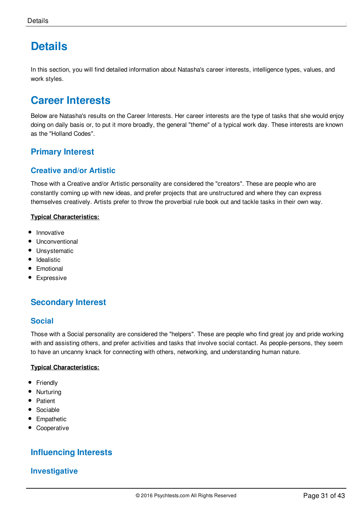# <span id="page-31-0"></span>**[Details](#page-1-4)**

In this section, you will find detailed information about Natasha's career interests, intelligence types, values, and work styles.

## **Career Interests**

Below are Natasha's results on the Career Interests. Her career interests are the type of tasks that she would enjoy doing on daily basis or, to put it more broadly, the general "theme" of a typical work day. These interests are known as the "Holland Codes".

## **Primary Interest**

## **Creative and/or Artistic**

Those with a Creative and/or Artistic personality are considered the "creators". These are people who are constantly coming up with new ideas, and prefer projects that are unstructured and where they can express themselves creatively. Artists prefer to throw the proverbial rule book out and tackle tasks in their own way.

#### **Typical Characteristics:**

- Innovative
- **•** Unconventional
- Unsystematic
- Idealistic
- Emotional
- Expressive

## **Secondary Interest**

#### **Social**

Those with a Social personality are considered the "helpers". These are people who find great joy and pride working with and assisting others, and prefer activities and tasks that involve social contact. As people-persons, they seem to have an uncanny knack for connecting with others, networking, and understanding human nature.

#### **Typical Characteristics:**

- Friendly
- Nurturing  $\bullet$
- Patient  $\bullet$
- Sociable
- Empathetic
- Cooperative

## **Influencing Interests**

## **Investigative**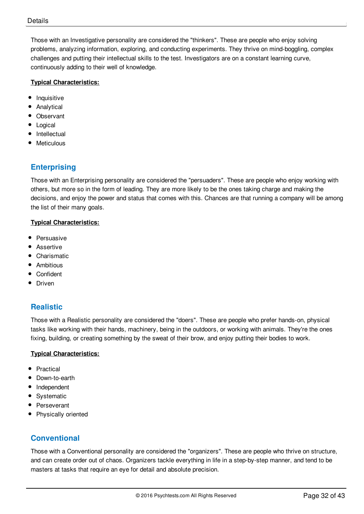Those with an Investigative personality are considered the "thinkers". These are people who enjoy solving problems, analyzing information, exploring, and conducting experiments. They thrive on mind-boggling, complex challenges and putting their intellectual skills to the test. Investigators are on a constant learning curve, continuously adding to their well of knowledge.

#### **Typical Characteristics:**

- Inquisitive
- $\bullet$ Analytical
- Observant
- Logical
- $\bullet$ Intellectual
- **Meticulous**

## **Enterprising**

Those with an Enterprising personality are considered the "persuaders". These are people who enjoy working with others, but more so in the form of leading. They are more likely to be the ones taking charge and making the decisions, and enjoy the power and status that comes with this. Chances are that running a company will be among the list of their many goals.

#### **Typical Characteristics:**

- Persuasive
- Assertive
- Charismatic
- Ambitious
- Confident
- Driven

#### **Realistic**

Those with a Realistic personality are considered the "doers". These are people who prefer hands-on, physical tasks like working with their hands, machinery, being in the outdoors, or working with animals. They're the ones fixing, building, or creating something by the sweat of their brow, and enjoy putting their bodies to work.

#### **Typical Characteristics:**

- Practical
- Down-to-earth
- Independent
- Systematic
- Perseverant
- Physically oriented

#### **Conventional**

Those with a Conventional personality are considered the "organizers". These are people who thrive on structure, and can create order out of chaos. Organizers tackle everything in life in a step-by-step manner, and tend to be masters at tasks that require an eye for detail and absolute precision.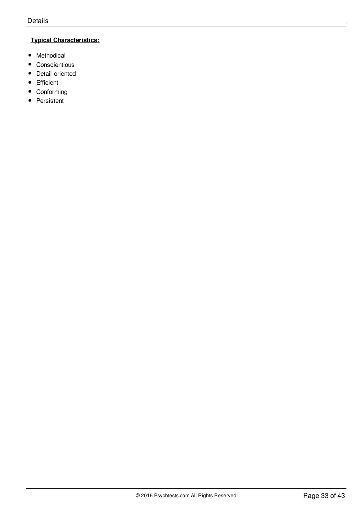#### **Typical Characteristics:**

- Methodical
- Conscientious
- Detail-oriented
- Efficient
- Conforming
- Persistent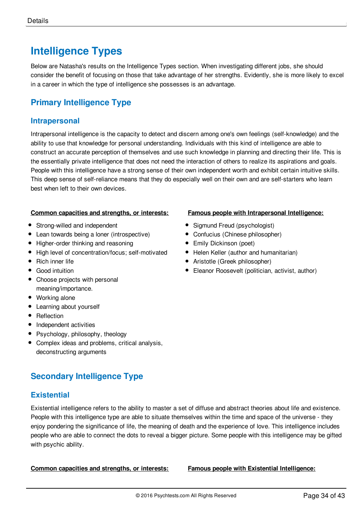# **Intelligence Types**

Below are Natasha's results on the Intelligence Types section. When investigating different jobs, she should consider the benefit of focusing on those that take advantage of her strengths. Evidently, she is more likely to excel in a career in which the type of intelligence she possesses is an advantage.

## **Primary Intelligence Type**

#### **Intrapersonal**

Intrapersonal intelligence is the capacity to detect and discern among one's own feelings (self-knowledge) and the ability to use that knowledge for personal understanding. Individuals with this kind of intelligence are able to construct an accurate perception of themselves and use such knowledge in planning and directing their life. This is the essentially private intelligence that does not need the interaction of others to realize its aspirations and goals. People with this intelligence have a strong sense of their own independent worth and exhibit certain intuitive skills. This deep sense of self-reliance means that they do especially well on their own and are self-starters who learn best when left to their own devices.

#### **Common capacities and strengths, or interests:**

- Strong-willed and independent
- Lean towards being a loner (introspective)
- Higher-order thinking and reasoning
- High level of concentration/focus; self-motivated
- Rich inner life
- Good intuition
- Choose projects with personal meaning/importance.
- Working alone
- Learning about yourself
- Reflection
- Independent activities
- Psychology, philosophy, theology
- Complex ideas and problems, critical analysis, deconstructing arguments

## **Secondary Intelligence Type**

#### **Existential**

Existential intelligence refers to the ability to master a set of diffuse and abstract theories about life and existence. People with this intelligence type are able to situate themselves within the time and space of the universe - they enjoy pondering the significance of life, the meaning of death and the experience of love. This intelligence includes people who are able to connect the dots to reveal a bigger picture. Some people with this intelligence may be gifted with psychic ability.

**Common capacities and strengths, or interests: Famous people with Existential Intelligence:**

- **Famous people with Intrapersonal Intelligence:**
- Sigmund Freud (psychologist)
- Confucius (Chinese philosopher)
- **•** Emily Dickinson (poet)
- Helen Keller (author and humanitarian)
- Aristotle (Greek philosopher)
- Eleanor Roosevelt (politician, activist, author)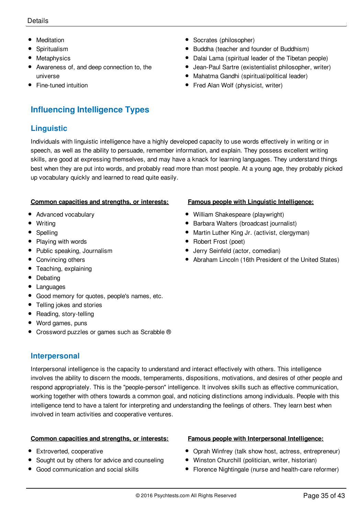#### D etails details and the contract of the contract of the contract of the contract of the contract of the contract of the contract of the contract of the contract of the contract of the contract of the contract of the contract of th

- Meditation
- Spiritualism
- **Metaphysics**
- Awareness of, and deep connection to, the universe
- Fine-tuned intuition

## **Influencing Intelligence Types**

## **Linguistic**

Individuals with linguistic intelligence have a highly developed capacity to use words effectively in writing or in speech, as well as the ability to persuade, remember information, and explain. They possess excellent writing skills, are good at expressing themselves, and may have a knack for learning languages. They understand things best when they are put into words, and probably read more than most people. At a young age, they probably picked up vocabulary quickly and learned to read quite easily.

#### **Common capacities and strengths, or interests:**

- Advanced vocabulary
- Writing
- Spelling
- Playing with words
- Public speaking, Journalism
- Convincing others
- Teaching, explaining
- Debating
- Languages
- Good memory for quotes, people's names, etc.
- Telling jokes and stories
- Reading, story-telling
- Word games, puns
- Crossword puzzles or games such as Scrabble ®

#### **Interpersonal**

Interpersonal intelligence is the capacity to understand and interact effectively with others. This intelligence involves the ability to discern the moods, temperaments, dispositions, motivations, and desires of other people and respond appropriately. This is the "people-person" intelligence. It involves skills such as effective communication, working together with others towards a common goal, and noticing distinctions among individuals. People with this intelligence tend to have a talent for interpreting and understanding the feelings of others. They learn best when involved in team activities and cooperative ventures.

#### **Common capacities and strengths, or interests:**

- Extroverted, cooperative
- Sought out by others for advice and counseling
- Good communication and social skills

#### **Famous people with Linguistic Intelligence:**

- William Shakespeare (playwright)
- **•** Barbara Walters (broadcast journalist)
- Martin Luther King Jr. (activist, clergyman)
- Robert Frost (poet)
- Jerry Seinfeld (actor, comedian)
- Abraham Lincoln (16th President of the United States)

#### **Famous people with Interpersonal Intelligence:**

- Oprah Winfrey (talk show host, actress, entrepreneur)
- Winston Churchill (politician, writer, historian)
- Florence Nightingale (nurse and health-care reformer)

# Dalai Lama (spiritual leader of the Tibetan people)

Jean-Paul Sartre (existentialist philosopher, writer) Mahatma Gandhi (spiritual/political leader)

• Buddha (teacher and founder of Buddhism)

• Fred Alan Wolf (physicist, writer)

• Socrates (philosopher)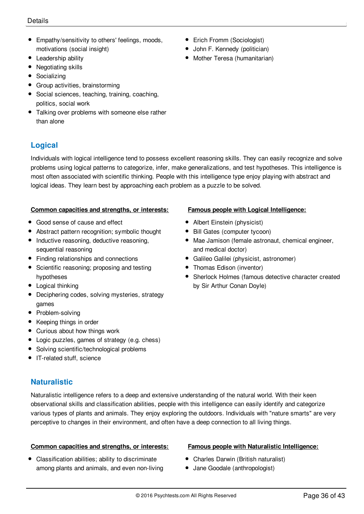- Empathy/sensitivity to others' feelings, moods, motivations (social insight)
- Leadership ability
- Negotiating skills
- Socializing
- Group activities, brainstorming
- Social sciences, teaching, training, coaching, politics, social work
- Talking over problems with someone else rather than alone

## **Logical**

Individuals with logical intelligence tend to possess excellent reasoning skills. They can easily recognize and solve problems using logical patterns to categorize, infer, make generalizations, and test hypotheses. This intelligence is most often associated with scientific thinking. People with this intelligence type enjoy playing with abstract and logical ideas. They learn best by approaching each problem as a puzzle to be solved.

#### **Common capacities and strengths, or interests:**

- Good sense of cause and effect
- Abstract pattern recognition; symbolic thought
- Inductive reasoning, deductive reasoning, sequential reasoning
- Finding relationships and connections
- Scientific reasoning; proposing and testing hypotheses
- Logical thinking
- Deciphering codes, solving mysteries, strategy games
- Problem-solving
- Keeping things in order
- Curious about how things work
- Logic puzzles, games of strategy (e.g. chess)
- Solving scientific/technological problems
- IT-related stuff, science

#### **Naturalistic**

Naturalistic intelligence refers to a deep and extensive understanding of the natural world. With their keen observational skills and classification abilities, people with this intelligence can easily identify and categorize various types of plants and animals. They enjoy exploring the outdoors. Individuals with "nature smarts" are very perceptive to changes in their environment, and often have a deep connection to all living things.

#### **Common capacities and strengths, or interests:**

• Classification abilities; ability to discriminate among plants and animals, and even non-living

#### • Erich Fromm (Sociologist)

- **John F. Kennedy (politician)**
- Mother Teresa (humanitarian)

- **Famous people with Logical Intelligence:**
- Albert Einstein (physicist)
- Bill Gates (computer tycoon)
- Mae Jamison (female astronaut, chemical engineer, and medical doctor)
- Galileo Galilei (physicist, astronomer)
- Thomas Edison (inventor)
- Sherlock Holmes (famous detective character created by Sir Arthur Conan Doyle)

#### **Famous people with Naturalistic Intelligence:**

- Charles Darwin (British naturalist)
- Jane Goodale (anthropologist)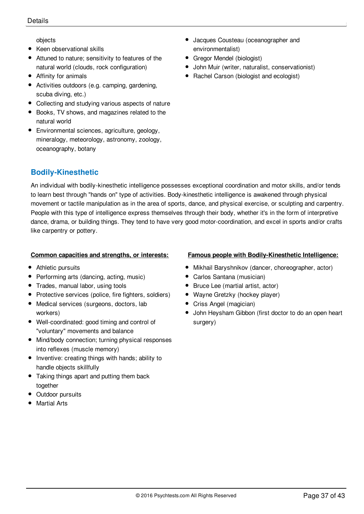objects

- Keen observational skills
- Attuned to nature; sensitivity to features of the natural world (clouds, rock configuration)
- Affinity for animals
- Activities outdoors (e.g. camping, gardening, scuba diving, etc.)
- Collecting and studying various aspects of nature
- Books, TV shows, and magazines related to the natural world
- Environmental sciences, agriculture, geology, mineralogy, meteorology, astronomy, zoology, oceanography, botany

## **Bodily-Kinesthetic**

- Jacques Cousteau (oceanographer and environmentalist)
- **Gregor Mendel (biologist)**
- John Muir (writer, naturalist, conservationist)
- Rachel Carson (biologist and ecologist)

An individual with bodily-kinesthetic intelligence possesses exceptional coordination and motor skills, and/or tends to learn best through "hands on" type of activities. Body-kinesthetic intelligence is awakened through physical movement or tactile manipulation as in the area of sports, dance, and physical exercise, or sculpting and carpentry. People with this type of intelligence express themselves through their body, whether it's in the form of interpretive dance, drama, or building things. They tend to have very good motor-coordination, and excel in sports and/or crafts like carpentry or pottery.

#### **Common capacities and strengths, or interests:**

- Athletic pursuits
- Performing arts (dancing, acting, music)
- Trades, manual labor, using tools
- Protective services (police, fire fighters, soldiers)
- Medical services (surgeons, doctors, lab workers)
- Well-coordinated: good timing and control of "voluntary" movements and balance
- Mind/body connection; turning physical responses into reflexes (muscle memory)
- Inventive: creating things with hands; ability to handle objects skillfully
- Taking things apart and putting them back together
- Outdoor pursuits
- Martial Arts

#### **Famous people with Bodily-Kinesthetic Intelligence:**

- Mikhail Baryshnikov (dancer, choreographer, actor)
- Carlos Santana (musician)
- Bruce Lee (martial artist, actor)
- Wayne Gretzky (hockey player)
- Criss Angel (magician)
- John Heysham Gibbon (first doctor to do an open heart surgery)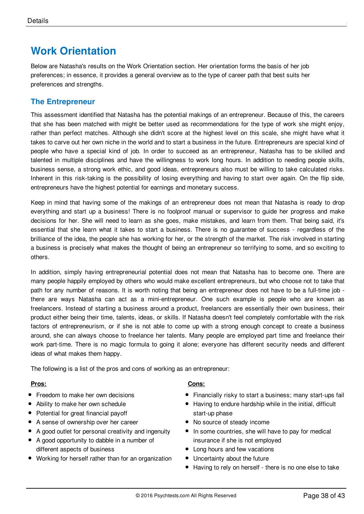# **Work Orientation**

Below are Natasha's results on the Work Orientation section. Her orientation forms the basis of her job preferences; in essence, it provides a general overview as to the type of career path that best suits her preferences and strengths.

## **The Entrepreneur**

This assessment identified that Natasha has the potential makings of an entrepreneur. Because of this, the careers that she has been matched with might be better used as recommendations for the type of work she might enjoy, rather than perfect matches. Although she didn't score at the highest level on this scale, she might have what it takes to carve out her own niche in the world and to start a business in the future. Entrepreneurs are special kind of people who have a special kind of job. In order to succeed as an entrepreneur, Natasha has to be skilled and talented in multiple disciplines and have the willingness to work long hours. In addition to needing people skills, business sense, a strong work ethic, and good ideas, entrepreneurs also must be willing to take calculated risks. Inherent in this risk-taking is the possibility of losing everything and having to start over again. On the flip side, entrepreneurs have the highest potential for earnings and monetary success.

Keep in mind that having some of the makings of an entrepreneur does not mean that Natasha is ready to drop everything and start up a business! There is no foolproof manual or supervisor to guide her progress and make decisions for her. She will need to learn as she goes, make mistakes, and learn from them. That being said, it's essential that she learn what it takes to start a business. There is no guarantee of success - regardless of the brilliance of the idea, the people she has working for her, or the strength of the market. The risk involved in starting a business is precisely what makes the thought of being an entrepreneur so terrifying to some, and so exciting to others.

In addition, simply having entrepreneurial potential does not mean that Natasha has to become one. There are many people happily employed by others who would make excellent entrepreneurs, but who choose not to take that path for any number of reasons. It is worth noting that being an entrepreneur does not have to be a full-time job there are ways Natasha can act as a mini-entrepreneur. One such example is people who are known as freelancers. Instead of starting a business around a product, freelancers are essentially their own business, their product either being their time, talents, ideas, or skills. If Natasha doesn't feel completely comfortable with the risk factors of entrepreneurism, or if she is not able to come up with a strong enough concept to create a business around, she can always choose to freelance her talents. Many people are employed part time and freelance their work part-time. There is no magic formula to going it alone; everyone has different security needs and different ideas of what makes them happy.

The following is a list of the pros and cons of working as an entrepreneur:

#### **Pros:**

- Freedom to make her own decisions
- Ability to make her own schedule
- Potential for great financial payoff
- A sense of ownership over her career
- A good outlet for personal creativity and ingenuity
- A good opportunity to dabble in a number of different aspects of business
- Working for herself rather than for an organization

#### **Cons:**

- Financially risky to start a business; many start-ups fail
- Having to endure hardship while in the initial, difficult start-up phase
- No source of steady income
- In some countries, she will have to pay for medical insurance if she is not employed
- Long hours and few vacations
- Uncertainty about the future
- Having to rely on herself there is no one else to take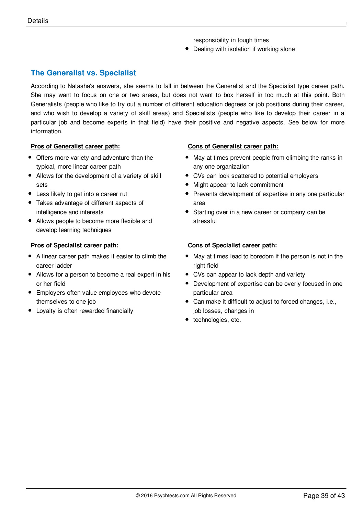responsibility in tough times

• Dealing with isolation if working alone

## **The Generalist vs. Specialist**

According to Natasha's answers, she seems to fall in between the Generalist and the Specialist type career path. She may want to focus on one or two areas, but does not want to box herself in too much at this point. Both Generalists (people who like to try out a number of different education degrees or job positions during their career, and who wish to develop a variety of skill areas) and Specialists (people who like to develop their career in a particular job and become experts in that field) have their positive and negative aspects. See below for more information.

#### **Pros of Generalist career path:**

- Offers more variety and adventure than the typical, more linear career path
- Allows for the development of a variety of skill sets
- Less likely to get into a career rut
- Takes advantage of different aspects of intelligence and interests
- Allows people to become more flexible and develop learning techniques

#### **Pros of Specialist career path:**

- A linear career path makes it easier to climb the career ladder
- Allows for a person to become a real expert in his or her field
- Employers often value employees who devote themselves to one job
- Loyalty is often rewarded financially

#### **Cons of Generalist career path:**

- May at times prevent people from climbing the ranks in any one organization
- CVs can look scattered to potential employers
- Might appear to lack commitment
- Prevents development of expertise in any one particular area
- Starting over in a new career or company can be stressful

#### **Cons of Specialist career path:**

- May at times lead to boredom if the person is not in the right field
- CVs can appear to lack depth and variety
- Development of expertise can be overly focused in one particular area
- Can make it difficult to adjust to forced changes, i.e., job losses, changes in
- technologies, etc.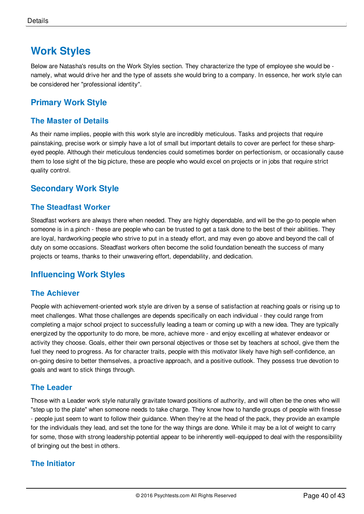# **Work Styles**

Below are Natasha's results on the Work Styles section. They characterize the type of employee she would be namely, what would drive her and the type of assets she would bring to a company. In essence, her work style can be considered her "professional identity".

## **Primary Work Style**

## **The Master of Details**

As their name implies, people with this work style are incredibly meticulous. Tasks and projects that require painstaking, precise work or simply have a lot of small but important details to cover are perfect for these sharpeyed people. Although their meticulous tendencies could sometimes border on perfectionism, or occasionally cause them to lose sight of the big picture, these are people who would excel on projects or in jobs that require strict quality control.

## **Secondary Work Style**

#### **The Steadfast Worker**

Steadfast workers are always there when needed. They are highly dependable, and will be the go-to people when someone is in a pinch - these are people who can be trusted to get a task done to the best of their abilities. They are loyal, hardworking people who strive to put in a steady effort, and may even go above and beyond the call of duty on some occasions. Steadfast workers often become the solid foundation beneath the success of many projects or teams, thanks to their unwavering effort, dependability, and dedication.

## **Influencing Work Styles**

#### **The Achiever**

People with achievement-oriented work style are driven by a sense of satisfaction at reaching goals or rising up to meet challenges. What those challenges are depends specifically on each individual - they could range from completing a major school project to successfully leading a team or coming up with a new idea. They are typically energized by the opportunity to do more, be more, achieve more - and enjoy excelling at whatever endeavor or activity they choose. Goals, either their own personal objectives or those set by teachers at school, give them the fuel they need to progress. As for character traits, people with this motivator likely have high self-confidence, an on-going desire to better themselves, a proactive approach, and a positive outlook. They possess true devotion to goals and want to stick things through.

#### **The Leader**

Those with a Leader work style naturally gravitate toward positions of authority, and will often be the ones who will "step up to the plate" when someone needs to take charge. They know how to handle groups of people with finesse - people just seem to want to follow their guidance. When they're at the head of the pack, they provide an example for the individuals they lead, and set the tone for the way things are done. While it may be a lot of weight to carry for some, those with strong leadership potential appear to be inherently well-equipped to deal with the responsibility of bringing out the best in others.

#### **The Initiator**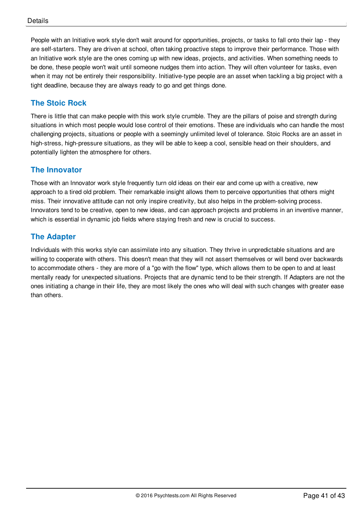People with an Initiative work style don't wait around for opportunities, projects, or tasks to fall onto their lap - they are self-starters. They are driven at school, often taking proactive steps to improve their performance. Those with an Initiative work style are the ones coming up with new ideas, projects, and activities. When something needs to be done, these people won't wait until someone nudges them into action. They will often volunteer for tasks, even when it may not be entirely their responsibility. Initiative-type people are an asset when tackling a big project with a tight deadline, because they are always ready to go and get things done.

## **The Stoic Rock**

There is little that can make people with this work style crumble. They are the pillars of poise and strength during situations in which most people would lose control of their emotions. These are individuals who can handle the most challenging projects, situations or people with a seemingly unlimited level of tolerance. Stoic Rocks are an asset in high-stress, high-pressure situations, as they will be able to keep a cool, sensible head on their shoulders, and potentially lighten the atmosphere for others.

## **The Innovator**

Those with an Innovator work style frequently turn old ideas on their ear and come up with a creative, new approach to a tired old problem. Their remarkable insight allows them to perceive opportunities that others might miss. Their innovative attitude can not only inspire creativity, but also helps in the problem-solving process. Innovators tend to be creative, open to new ideas, and can approach projects and problems in an inventive manner, which is essential in dynamic job fields where staying fresh and new is crucial to success.

## **The Adapter**

Individuals with this works style can assimilate into any situation. They thrive in unpredictable situations and are willing to cooperate with others. This doesn't mean that they will not assert themselves or will bend over backwards to accommodate others - they are more of a "go with the flow" type, which allows them to be open to and at least mentally ready for unexpected situations. Projects that are dynamic tend to be their strength. If Adapters are not the ones initiating a change in their life, they are most likely the ones who will deal with such changes with greater ease than others.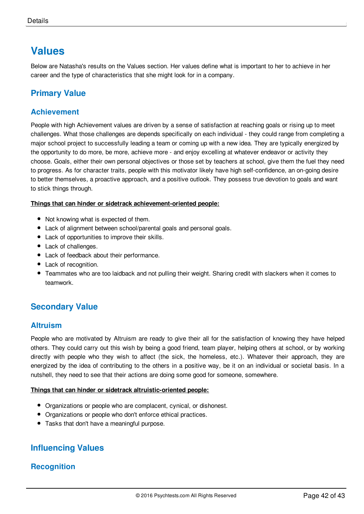# **Values**

Below are Natasha's results on the Values section. Her values define what is important to her to achieve in her career and the type of characteristics that she might look for in a company.

## **Primary Value**

#### **Achievement**

People with high Achievement values are driven by a sense of satisfaction at reaching goals or rising up to meet challenges. What those challenges are depends specifically on each individual - they could range from completing a major school project to successfully leading a team or coming up with a new idea. They are typically energized by the opportunity to do more, be more, achieve more - and enjoy excelling at whatever endeavor or activity they choose. Goals, either their own personal objectives or those set by teachers at school, give them the fuel they need to progress. As for character traits, people with this motivator likely have high self-confidence, an on-going desire to better themselves, a proactive approach, and a positive outlook. They possess true devotion to goals and want to stick things through.

#### **Things that can hinder or sidetrack achievement-oriented people:**

- Not knowing what is expected of them.
- Lack of alignment between school/parental goals and personal goals.
- Lack of opportunities to improve their skills.
- Lack of challenges.
- Lack of feedback about their performance.
- Lack of recognition.
- Teammates who are too laidback and not pulling their weight. Sharing credit with slackers when it comes to teamwork.

## **Secondary Value**

#### **Altruism**

People who are motivated by Altruism are ready to give their all for the satisfaction of knowing they have helped others. They could carry out this wish by being a good friend, team player, helping others at school, or by working directly with people who they wish to affect (the sick, the homeless, etc.). Whatever their approach, they are energized by the idea of contributing to the others in a positive way, be it on an individual or societal basis. In a nutshell, they need to see that their actions are doing some good for someone, somewhere.

#### **Things that can hinder or sidetrack altruistic-oriented people:**

- Organizations or people who are complacent, cynical, or dishonest.
- Organizations or people who don't enforce ethical practices.
- Tasks that don't have a meaningful purpose.

## **Influencing Values**

#### **Recognition**